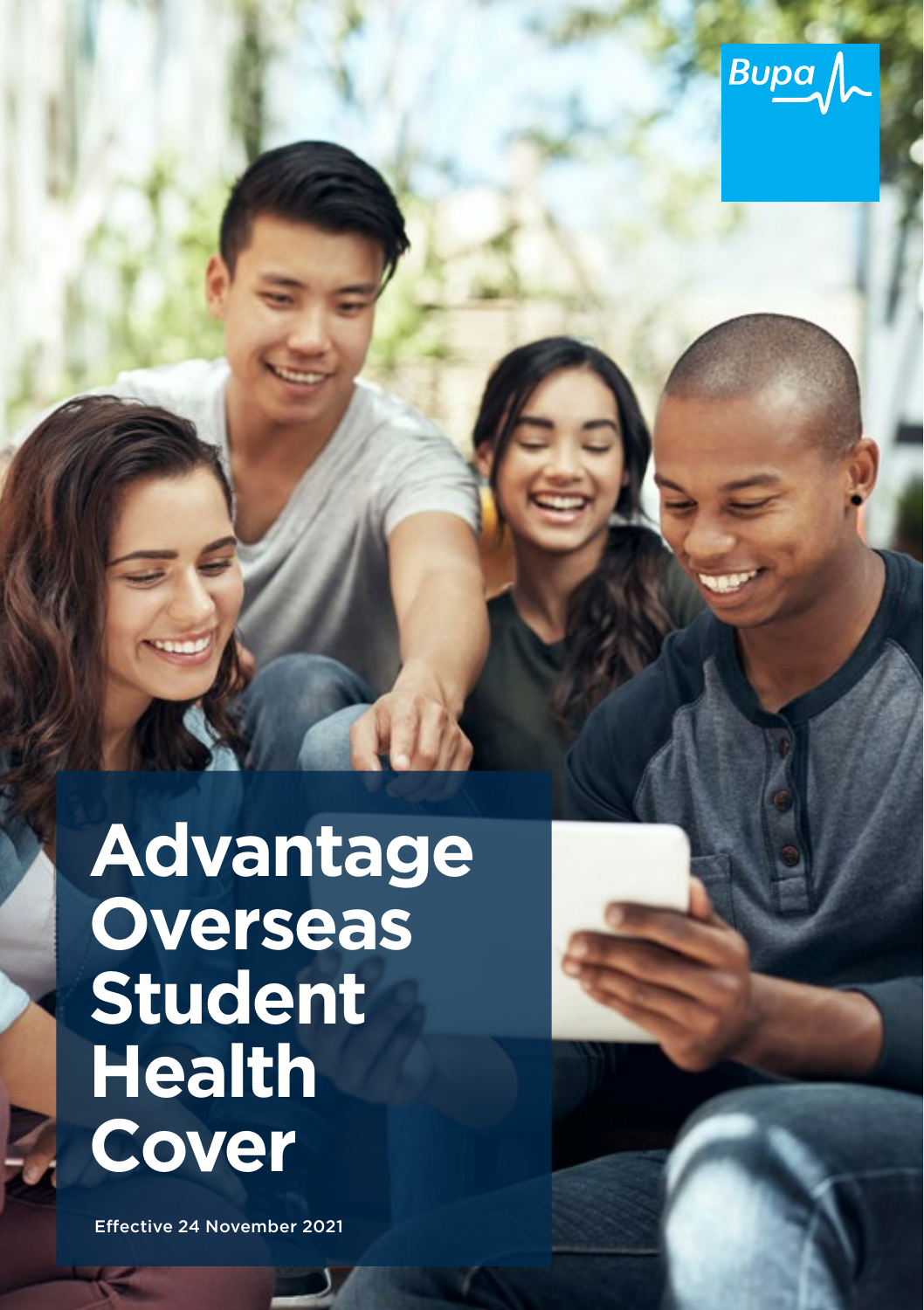

# **Advantage Overseas Student Health Cover**

Effective 24 November 2021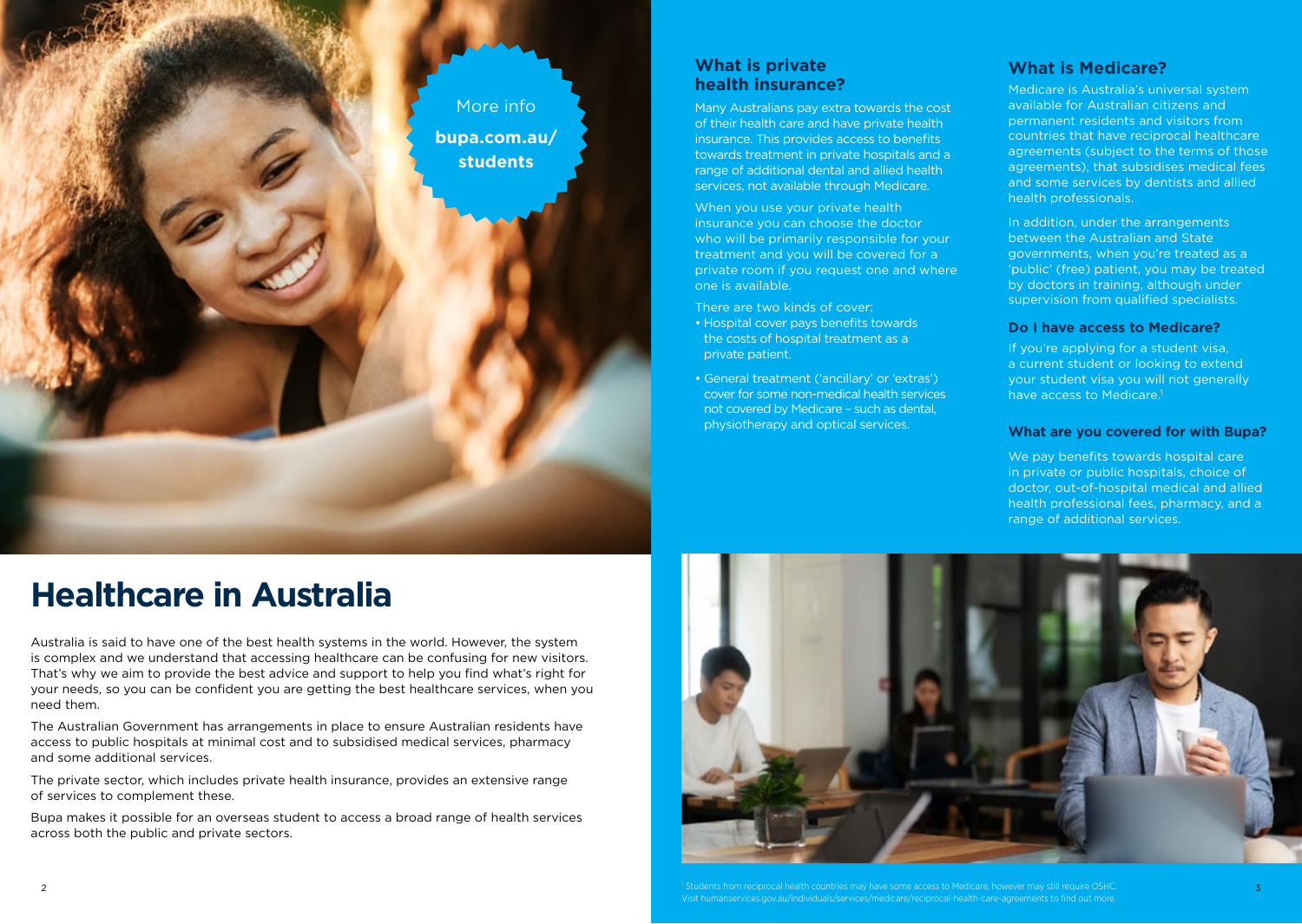

### **What is private health insurance?**

Many Australians pay extra towards the cost of their health care and have private health insurance. This provides access to benefits towards treatment in private hospitals and a range of additional dental and allied health services, not available through Medicare.

When you use your private health insurance you can choose the doctor who will be primarily responsible for your treatment and you will be covered for a private room if you request one and where one is available.

- There are two kinds of cover:
- Hospital cover pays benefits towards the costs of hospital treatment as a private patient.
- General treatment ('ancillary' or 'extras') cover for some non-medical health services not covered by Medicare – such as dental, physiotherapy and optical services.

### **What is Medicare?**

Medicare is Australia's universal system available for Australian citizens and permanent residents and visitors from countries that have reciprocal healthcare agreements (subject to the terms of those agreements), that subsidises medical fees and some services by dentists and allied health professionals.

In addition, under the arrangements between the Australian and State governments, when you're treated as a 'public' (free) patient, you may be treated by doctors in training, although under supervision from qualified specialists.

### **Do I have access to Medicare?**

If you're applying for a student visa, a current student or looking to extend your student visa you will not generally have access to Medicare.<sup>1</sup>

#### **What are you covered for with Bupa?**

We pay benefits towards hospital care in private or public hospitals, choice of doctor, out-of-hospital medical and allied health professional fees, pharmacy, and a range of additional services.

# **Healthcare in Australia**

Australia is said to have one of the best health systems in the world. However, the system is complex and we understand that accessing healthcare can be confusing for new visitors. That's why we aim to provide the best advice and support to help you find what's right for your needs, so you can be confident you are getting the best healthcare services, when you need them.

The Australian Government has arrangements in place to ensure Australian residents have access to public hospitals at minimal cost and to subsidised medical services, pharmacy and some additional services.

The private sector, which includes private health insurance, provides an extensive range of services to complement these.

Bupa makes it possible for an overseas student to access a broad range of health services across both the public and private sectors.



Students from reciprocal health countries may have some access to Medicare, however may still require OSHC. The state of the state of the state of the state of the state of the state of the state of the state of the state Visit humanservices.gov.au/individuals/services/medicare/reciprocal-health-care-agreements to find out more.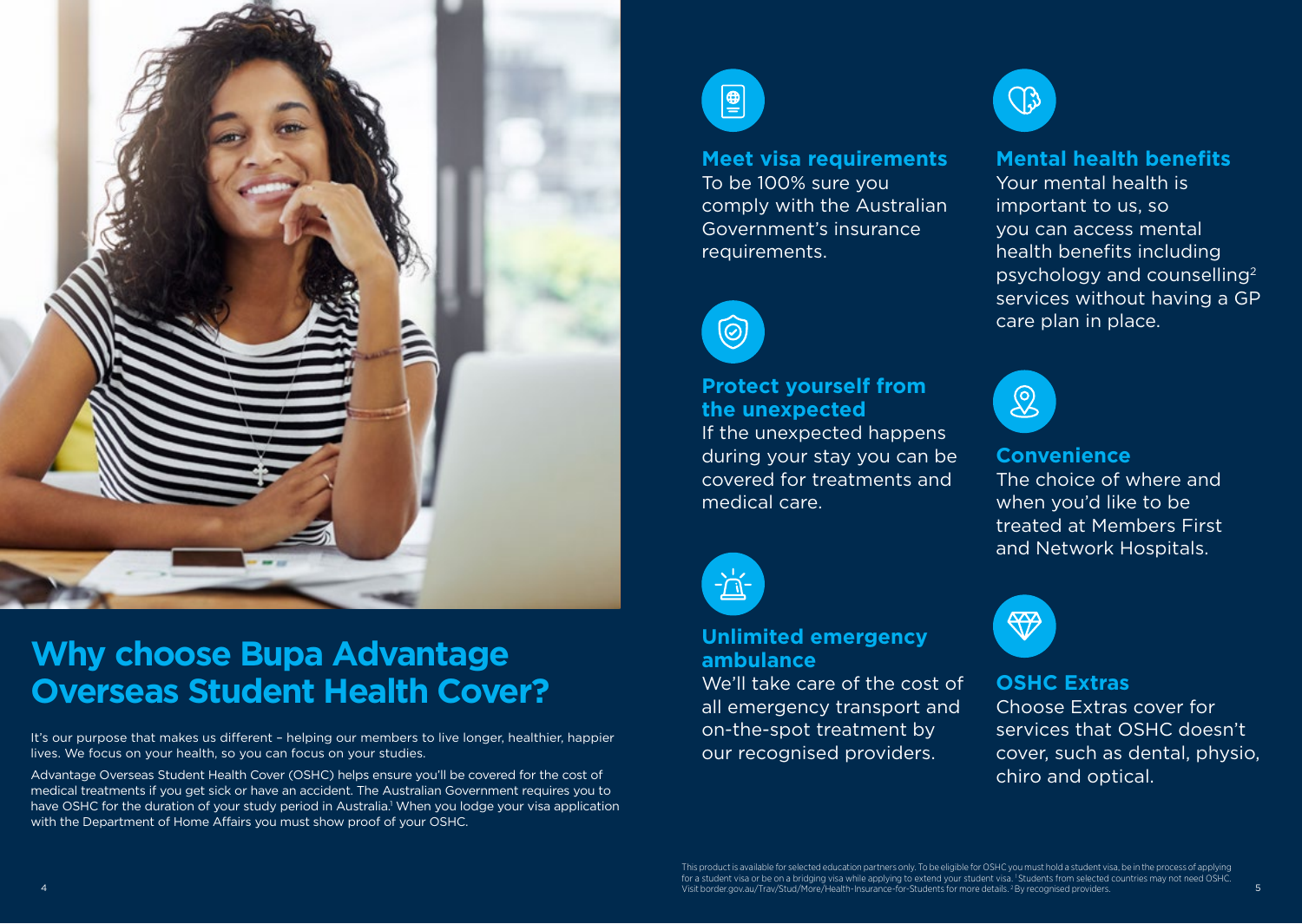

# **Why choose Bupa Advantage Overseas Student Health Cover?**

It's our purpose that makes us different – helping our members to live longer, healthier, happier lives. We focus on your health, so you can focus on your studies.

Advantage Overseas Student Health Cover (OSHC) helps ensure you'll be covered for the cost of medical treatments if you get sick or have an accident. The Australian Government requires you to have OSHC for the duration of your study period in Australia.<sup>1</sup> When you lodge your visa application with the Department of Home Affairs you must show proof of your OSHC.



### **Meet visa requirements**

To be 100% sure you comply with the Australian Government's insurance requirements.



## **Protect yourself from the unexpected**

If the unexpected happens during your stay you can be covered for treatments and medical care.



### **Unlimited emergency ambulance**

We'll take care of the cost of all emergency transport and on-the-spot treatment by our recognised providers.



## **Mental health benefits**

Your mental health is important to us, so you can access mental health benefits including psychology and counselling2 services without having a GP care plan in place.



### **Convenience**

The choice of where and when you'd like to be treated at Members First and Network Hospitals.



## **OSHC Extras**

Choose Extras cover for services that OSHC doesn't cover, such as dental, physio, chiro and optical.

4 5 Visit border.gov.au/Trav/Stud/More/Health-Insurance-for-Students for more details. 2 By recognised providers.This product is available for selected education partners only. To be eligible for OSHC you must hold a student visa, be in the process of applying for a student visa or be on a bridging visa while applying to extend your student visa. <sup>1</sup> Students from selected countries may not need OSHC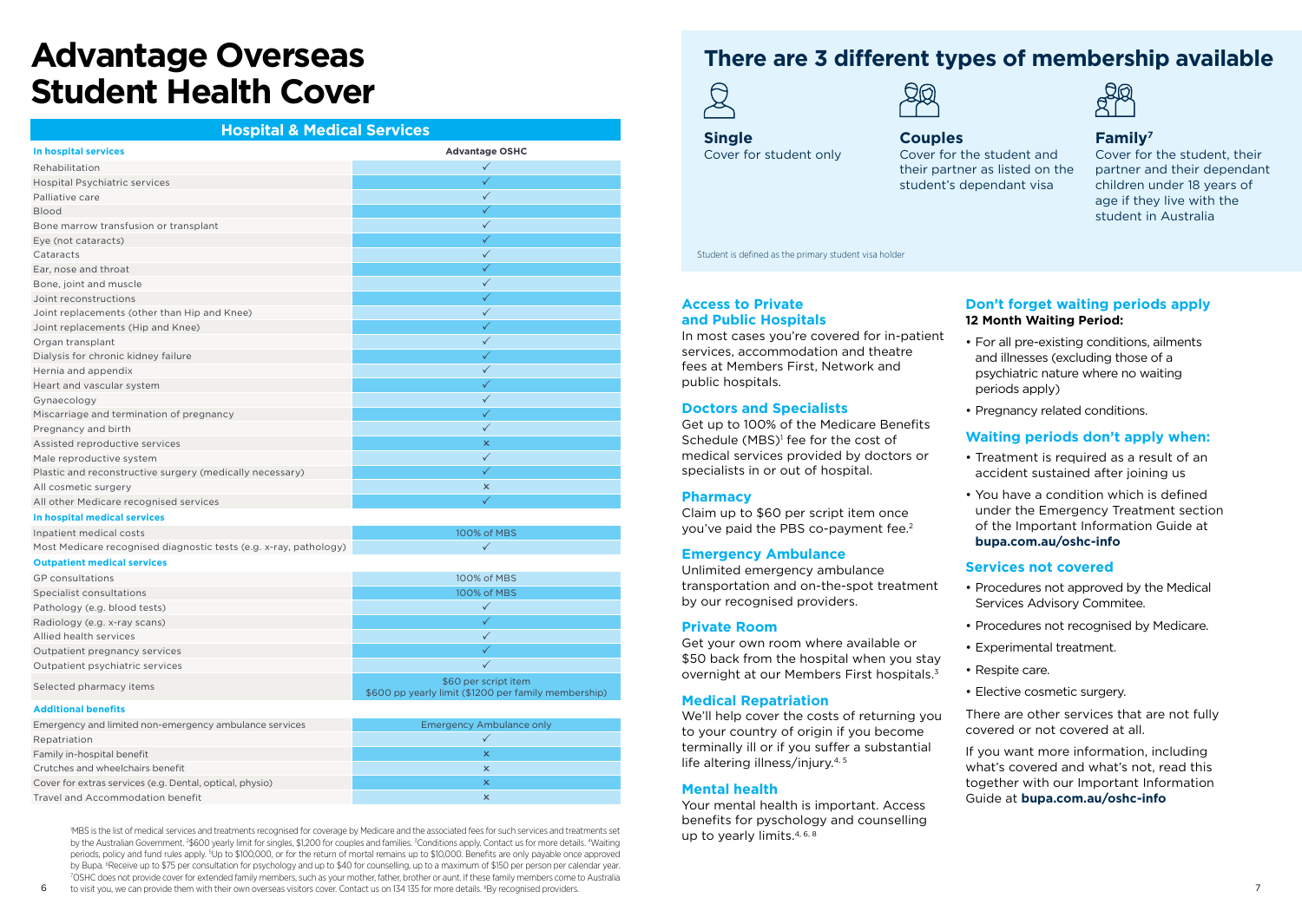# **Advantage Overseas Student Health Cover**

### **Hospital & Medical Services**

| In hospital services                                              | <b>Advantage OSHC</b>     |
|-------------------------------------------------------------------|---------------------------|
| Rehabilitation                                                    | $\checkmark$              |
| <b>Hospital Psychiatric services</b>                              | $\checkmark$              |
| Palliative care                                                   | $\checkmark$              |
| <b>Blood</b>                                                      | $\checkmark$              |
| Bone marrow transfusion or transplant                             | $\checkmark$              |
| Eye (not cataracts)                                               | ✓                         |
| Cataracts                                                         | $\checkmark$              |
| Ear, nose and throat                                              | $\checkmark$              |
| Bone, joint and muscle                                            | $\checkmark$              |
| Joint reconstructions                                             | $\checkmark$              |
| Joint replacements (other than Hip and Knee)                      | $\checkmark$              |
| Joint replacements (Hip and Knee)                                 | $\checkmark$              |
| Organ transplant                                                  | $\checkmark$              |
| Dialysis for chronic kidney failure                               | $\checkmark$              |
| Hernia and appendix                                               | $\checkmark$              |
| Heart and vascular system                                         | ✓                         |
| Gynaecology                                                       | $\checkmark$              |
| Miscarriage and termination of pregnancy                          | $\checkmark$              |
| Pregnancy and birth                                               | $\checkmark$              |
| Assisted reproductive services                                    | $\pmb{\times}$            |
| Male reproductive system                                          | $\checkmark$              |
| Plastic and reconstructive surgery (medically necessary)          | $\checkmark$              |
| All cosmetic surgery                                              | $\boldsymbol{\mathsf{x}}$ |
| All other Medicare recognised services                            | $\checkmark$              |
| In hospital medical services                                      |                           |
| Inpatient medical costs                                           | 100% of MBS               |
| Most Medicare recognised diagnostic tests (e.g. x-ray, pathology) | $\checkmark$              |
| <b>Outpatient medical services</b>                                |                           |

| GP consultations                | 100% of MBS                                                                  |
|---------------------------------|------------------------------------------------------------------------------|
| Specialist consultations        | 100% of MBS                                                                  |
| Pathology (e.g. blood tests)    |                                                                              |
| Radiology (e.g. x-ray scans)    |                                                                              |
| Allied health services          |                                                                              |
| Outpatient pregnancy services   |                                                                              |
| Outpatient psychiatric services |                                                                              |
| Selected pharmacy items         | \$60 per script item<br>\$600 pp yearly limit (\$1200 per family membership) |

#### **Additional benefits**

| Emergency and limited non-emergency ambulance services   | Emergency Ambulance only |
|----------------------------------------------------------|--------------------------|
| Repatriation                                             |                          |
| Family in-hospital benefit                               | x                        |
| Crutches and wheelchairs benefit                         | ×                        |
| Cover for extras services (e.g. Dental, optical, physio) | ×                        |
| Travel and Accommodation benefit                         | ×                        |

1 MBS is the list of medical services and treatments recognised for coverage by Medicare and the associated fees for such services and treatments set by the Australian Government. <sup>2</sup>\$600 yearly limit for singles, \$1,200 for couples and families. <sup>3</sup>Conditions apply. Contact us for more details. <sup>4</sup>Waiting periods, policy and fund rules apply. <sup>5</sup>Up to \$100,000, or for the return of mortal remains up to \$10,000. Benefits are only payable once approved by Bupa. <sup>6</sup>Receive up to \$75 per consultation for psychology and up to \$40 for counselling, up to a maximum of \$150 per person per calendar year.<br>7OSHC does not provide cover for extanded family members, such as your moth OSHC does not provide cover for extended family members, such as your mother, father, brother or aunt. If these family members come to Australia

## **There are 3 different types of membership available**





**Single** Cover for student only

### **Couples** Cover for the student and their partner as listed on the student's dependant visa



### **Family7**

Cover for the student, their partner and their dependant children under 18 years of age if they live with the student in Australia

Student is defined as the primary student visa holder

### **Access to Private and Public Hospitals**

In most cases you're covered for in-patient services, accommodation and theatre fees at Members First, Network and public hospitals.

### **Doctors and Specialists**

Get up to 100% of the Medicare Benefits Schedule (MBS)<sup>1</sup> fee for the cost of medical services provided by doctors or specialists in or out of hospital.

### **Pharmacy**

Claim up to \$60 per script item once you've paid the PBS co-payment fee.<sup>2</sup>

### **Emergency Ambulance**

Unlimited emergency ambulance transportation and on-the-spot treatment by our recognised providers.

#### **Private Room**

Get your own room where available or \$50 back from the hospital when you stay overnight at our Members First hospitals.<sup>3</sup>

#### **Medical Repatriation**

We'll help cover the costs of returning you to your country of origin if you become terminally ill or if you suffer a substantial life altering illness/injury.<sup>4, 5</sup>

#### **Mental health**

Your mental health is important. Access benefits for pyschology and counselling up to yearly limits.4, 6, 8

### **Don't forget waiting periods apply 12 Month Waiting Period:**

- For all pre-existing conditions, ailments and illnesses (excluding those of a psychiatric nature where no waiting periods apply)
- Pregnancy related conditions.

### **Waiting periods don't apply when:**

- Treatment is required as a result of an accident sustained after joining us
- You have a condition which is defined under the Emergency Treatment section of the Important Information Guide at

### **[bupa.com.au/oshc-info](https://bupa.com.au/oshc-info)**

### **Services not covered**

- Procedures not approved by the Medical Services Advisory Commitee.
- Procedures not recognised by Medicare.
- Experimental treatment.
- Respite care.
- Elective cosmetic surgery.

There are other services that are not fully covered or not covered at all.

If you want more information, including what's covered and what's not, read this together with our Important Information Guide at **[bupa.com.au/oshc-info](https://bupa.com.au/oshc-info)**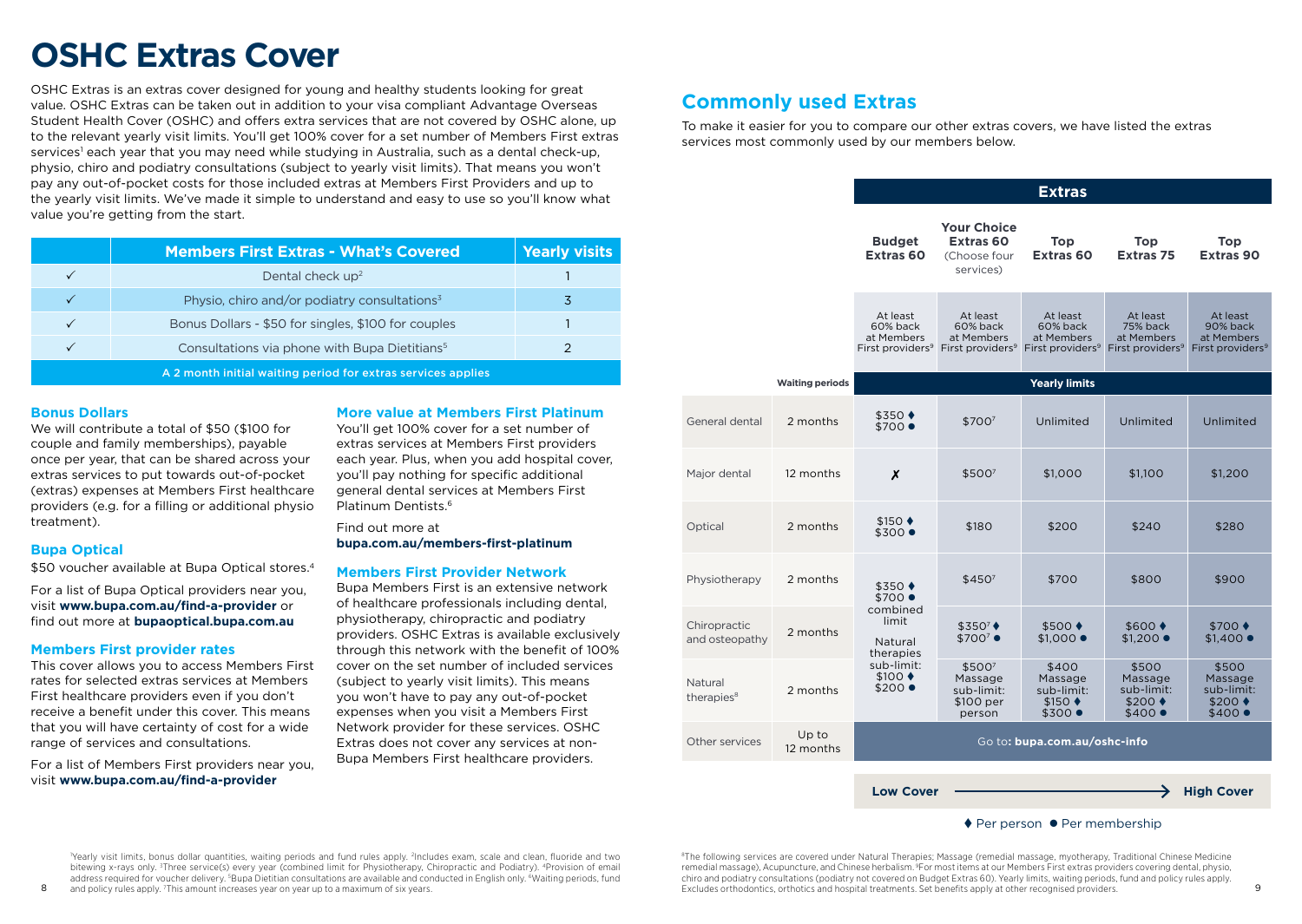# **OSHC Extras Cover**

OSHC Extras is an extras cover designed for young and healthy students looking for great value. OSHC Extras can be taken out in addition to your visa compliant Advantage Overseas Student Health Cover (OSHC) and offers extra services that are not covered by OSHC alone, up to the relevant yearly visit limits. You'll get 100% cover for a set number of Members First extras services<sup>1</sup> each year that you may need while studying in Australia, such as a dental check-up, physio, chiro and podiatry consultations (subject to yearly visit limits). That means you won't pay any out-of-pocket costs for those included extras at Members First Providers and up to the yearly visit limits. We've made it simple to understand and easy to use so you'll know what value you're getting from the start.

|                                                              | <b>Members First Extras - What's Covered</b>              | Yearly visits |  |
|--------------------------------------------------------------|-----------------------------------------------------------|---------------|--|
|                                                              | Dental check up <sup>2</sup>                              |               |  |
|                                                              | Physio, chiro and/or podiatry consultations <sup>3</sup>  | 3             |  |
|                                                              | Bonus Dollars - \$50 for singles, \$100 for couples       |               |  |
|                                                              | Consultations via phone with Bupa Dietitians <sup>5</sup> |               |  |
| A 2 month initial waiting period for extras services applies |                                                           |               |  |

### **Bonus Dollars**

We will contribute a total of \$50 (\$100 for couple and family memberships), payable once per year, that can be shared across your extras services to put towards out-of-pocket (extras) expenses at Members First healthcare providers (e.g. for a filling or additional physio treatment).

### **Bupa Optical**

\$50 voucher available at Bupa Optical stores.<sup>4</sup>

For a list of Bupa Optical providers near you, visit **www.bupa.com.au/find-a-provider** or find out more at **bupaoptical.bupa.com.au**

### **Members First provider rates**

This cover allows you to access Members First rates for selected extras services at Members First healthcare providers even if you don't receive a benefit under this cover. This means that you will have certainty of cost for a wide range of services and consultations.

For a list of Members First providers near you, visit **[www.bupa.com.au/find-a-provider](http://www.bupa.com.au/find-a-provider)** 

### **More value at Members First Platinum**

You'll get 100% cover for a set number of extras services at Members First providers each year. Plus, when you add hospital cover, you'll pay nothing for specific additional general dental services at Members First Platinum Dentists<sup>6</sup>

Find out more at **[bupa.com.au/members-first-platinum](https://www.bupa.com.au/health-insurance/understanding-your-health-cover/your-extras-cover/members-first-platinum)** 

### **Members First Provider Network**

Bupa Members First is an extensive network of healthcare professionals including dental, physiotherapy, chiropractic and podiatry providers. OSHC Extras is available exclusively through this network with the benefit of 100% cover on the set number of included services (subject to yearly visit limits). This means you won't have to pay any out-of-pocket expenses when you visit a Members First Network provider for these services. OSHC Extras does not cover any services at non-Bupa Members First healthcare providers.

## **Commonly used Extras**

To make it easier for you to compare our other extras covers, we have listed the extras services most commonly used by our members below.

|                                   |                        | <b>Extras</b>                                                                                                                    |                                                                         |                                                                    |                                                                       |                                                                    |
|-----------------------------------|------------------------|----------------------------------------------------------------------------------------------------------------------------------|-------------------------------------------------------------------------|--------------------------------------------------------------------|-----------------------------------------------------------------------|--------------------------------------------------------------------|
|                                   |                        | <b>Budget</b><br>Extras <sub>60</sub>                                                                                            | <b>Your Choice</b><br>Extras <sub>60</sub><br>(Choose four<br>services) | Top<br><b>Extras 60</b>                                            | Top<br><b>Extras 75</b>                                               | Top<br><b>Extras 90</b>                                            |
|                                   |                        | At least<br>60% back<br>at Members<br>First providers <sup>9</sup>                                                               | At least<br>60% back<br>at Members<br>First providers <sup>9</sup>      | At least<br>60% back<br>at Members<br>First providers <sup>9</sup> | At least<br>75% back<br>at Members<br>First providers <sup>9</sup>    | At least<br>90% back<br>at Members<br>First providers <sup>9</sup> |
|                                   | <b>Waiting periods</b> |                                                                                                                                  |                                                                         | <b>Yearly limits</b>                                               |                                                                       |                                                                    |
| General dental                    | 2 months               | \$350 ♦<br>\$700 ●                                                                                                               | \$7007                                                                  | Unlimited                                                          | Unlimited                                                             | Unlimited                                                          |
| Major dental                      | 12 months              | X                                                                                                                                | \$5007                                                                  | \$1,000                                                            | \$1,100                                                               | \$1,200                                                            |
| Optical                           | 2 months               | $$150$ $\blacklozenge$<br>\$300 ●                                                                                                | \$180                                                                   | \$200                                                              | \$240                                                                 | \$280                                                              |
| Physiotherapy                     | 2 months               | $$350$ $\bullet$<br>$$700$ $\bullet$<br>combined<br>limit<br>Natural<br>therapies<br>sub-limit:<br>$$100 \rightarrow$<br>\$200 ● | \$450 <sup>7</sup>                                                      | \$700                                                              | \$800                                                                 | \$900                                                              |
| Chiropractic<br>and osteopathy    | 2 months               |                                                                                                                                  | \$3507<br>$$700^7$ $\bullet$                                            | $$500 \rightarrow$<br>$$1,000$ $\bullet$                           | $$600 \rightarrow$<br>$$1,200$ $\bullet$                              | $$700 \rightarrow$<br>$$1,400$ $\bullet$                           |
| Natural<br>therapies <sup>8</sup> | 2 months               |                                                                                                                                  | \$5007<br>Massage<br>sub-limit:<br>\$100 per<br>person                  | \$400<br>Massage<br>sub-limit:<br>$$150 \rightarrow$<br>\$300 ●    | \$500<br>Massage<br>sub-limit:<br>$$200 \rightarrow$<br>$$400\bullet$ | \$500<br>Massage<br>sub-limit:<br>$$200$ $\triangleleft$<br>\$400  |
| Other services                    | Up to<br>12 months     |                                                                                                                                  |                                                                         | Go to: bupa.com.au/oshc-info                                       |                                                                       |                                                                    |
|                                   |                        | <b>Low Cover</b>                                                                                                                 |                                                                         |                                                                    |                                                                       | <b>High Cover</b>                                                  |

 $\triangle$  Per person  $\bullet$  Per membership

1 Yearly visit limits, bonus dollar quantities, waiting periods and fund rules apply. 2 Includes exam, scale and clean, fluoride and two bitewing x-rays only. <sup>3</sup>Three service(s) every year (combined limit for Physiotherapy, Chiropractic and Podiatry). <sup>4</sup>Provision of email address required for voucher delivery. <sup>5</sup>Bupa Dietitian consultations are available and conducted in English only. <sup>6</sup>Waiting periods, fund

and policy rules apply. <sup>7</sup>This amount increases year on year up to a maximum of six years.

8 and policy rules apply. This amount increases year on year up to a maximum of six years. Set benefits apply at other recognised providers orthodontics, orthotics and hospital treatments. Set benefits apply at other recog 8 The following services are covered under Natural Therapies; Massage (remedial massage, myotherapy, Traditional Chinese Medicine remedial massage), Acupuncture, and Chinese herbalism. <sup>9</sup>For most items at our Members First extras providers covering dental, physio, chiro and podiatry consultations (podiatry not covered on Budget Extras 60). Yearly limits, waiting periods, fund and policy rules apply.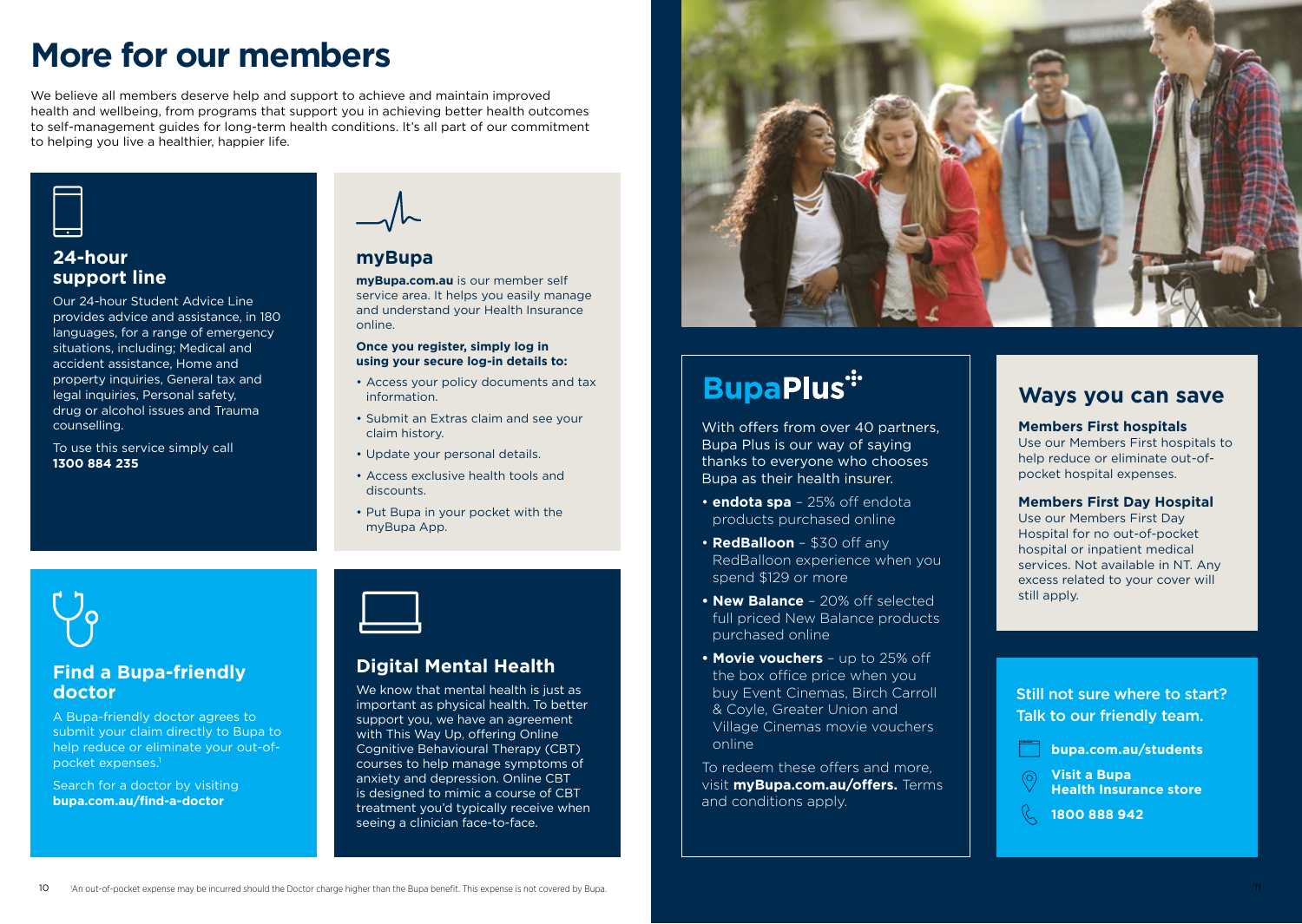# **More for our members**

We believe all members deserve help and support to achieve and maintain improved health and wellbeing, from programs that support you in achieving better health outcomes to self-management guides for long-term health conditions. It's all part of our commitment to helping you live a healthier, happier life.



### **24-hour support line**

Our 24-hour Student Advice Line provides advice and assistance, in 180 languages, for a range of emergency situations, including; Medical and accident assistance, Home and property inquiries, General tax and legal inquiries, Personal safety, drug or alcohol issues and Trauma counselling.

To use this service simply call **1300 884 235**



### **myBupa**

**[myBupa.com.au](https://my.bupa.com.au/login)** is our member self service area. It helps you easily manage and understand your Health Insurance online.

### **Once you register, simply log in using your secure log-in details to:**

- Access your policy documents and tax information.
- Submit an Extras claim and see your claim history.
- Update your personal details.
- Access exclusive health tools and discounts.
- Put Bupa in your pocket with the myBupa App.



### **Find a Bupa-friendly doctor**

A Bupa-friendly doctor agrees to submit your claim directly to Bupa to help reduce or eliminate your out-ofpocket expenses.1

Search for a doctor by visiting **[bupa.com.au/find-a-doctor](https://www.bupa.com.au/health-insurance/oshc/members-help-guide/find-a-doctor)**

### **Digital Mental Health**

We know that mental health is just as important as physical health. To better support you, we have an agreement with This Way Up, offering Online Cognitive Behavioural Therapy (CBT) courses to help manage symptoms of anxiety and depression. Online CBT is designed to mimic a course of CBT treatment you'd typically receive when seeing a clinician face-to-face.



# **BupaPlus\***

With offers from over 40 partners. Bupa Plus is our way of saying thanks to everyone who chooses Bupa as their health insurer.

- **endota spa**  25% off endota products purchased online
- **RedBalloon**  \$30 off any RedBalloon experience when you spend \$129 or more
- **New Balance**  20% off selected full priced New Balance products purchased online
- **Movie vouchers**  up to 25% off the box office price when you buy Event Cinemas, Birch Carroll & Coyle, Greater Union and Village Cinemas movie vouchers online

To redeem these offers and more, visit **[myBupa.com.au/offers.](https://my.bupa.com.au/login?ReturnUrl=%2foffers)** Terms and conditions apply.

### **Ways you can save**

### **Members First hospitals**

Use our Members First hospitals to help reduce or eliminate out-ofpocket hospital expenses.

### **Members First Day Hospital**

Use our Members First Day Hospital for no out-of-pocket hospital or inpatient medical services. Not available in NT. Any excess related to your cover will still apply.

Still not sure where to start? Talk to our friendly team.

**[bupa.com.au/students](https://www.bupa.com.au/health-insurance/oshc)**

**Visit a [Bupa](https://www.bupa.com.au/contact-us/bupa-store-opening-hours)  [Health Insurance store](https://www.bupa.com.au/contact-us/bupa-store-opening-hours)**

**1800 888 942**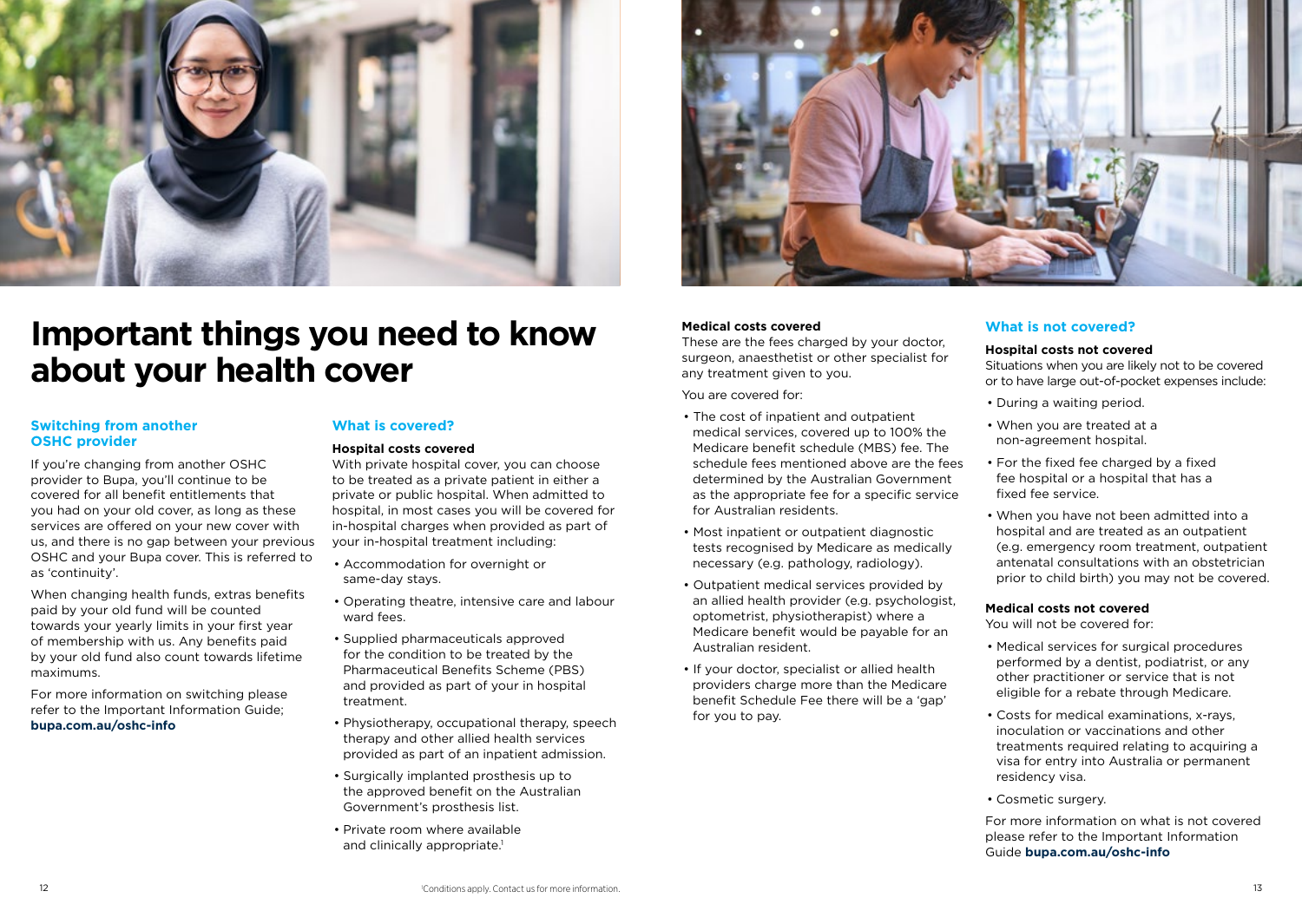

# **Important things you need to know about your health cover**

#### **Switching from another OSHC provider**

If you're changing from another OSHC provider to Bupa, you'll continue to be covered for all benefit entitlements that you had on your old cover, as long as these services are offered on your new cover with us, and there is no gap between your previous OSHC and your Bupa cover. This is referred to as 'continuity'.

When changing health funds, extras benefits paid by your old fund will be counted towards your yearly limits in your first year of membership with us. Any benefits paid by your old fund also count towards lifetime maximums.

For more information on switching please refer to the Important Information Guide; **[bupa.com.au/oshc-info](https://bupa.com.au/oshc-info)**

### **What is covered?**

#### **Hospital costs covered**

With private hospital cover, you can choose to be treated as a private patient in either a private or public hospital. When admitted to hospital, in most cases you will be covered for in-hospital charges when provided as part of your in-hospital treatment including:

- Accommodation for overnight or same-day stays.
- Operating theatre, intensive care and labour ward fees.
- Supplied pharmaceuticals approved for the condition to be treated by the Pharmaceutical Benefits Scheme (PBS) and provided as part of your in hospital treatment.
- Physiotherapy, occupational therapy, speech therapy and other allied health services provided as part of an inpatient admission.
- Surgically implanted prosthesis up to the approved benefit on the Australian Government's prosthesis list.
- Private room where available and clinically appropriate.<sup>1</sup>



#### **Medical costs covered**

These are the fees charged by your doctor, surgeon, anaesthetist or other specialist for any treatment given to you.

You are covered for:

- The cost of inpatient and outpatient medical services, covered up to 100% the Medicare benefit schedule (MBS) fee. The schedule fees mentioned above are the fees determined by the Australian Government as the appropriate fee for a specific service for Australian residents.
- Most inpatient or outpatient diagnostic tests recognised by Medicare as medically necessary (e.g. pathology, radiology).
- Outpatient medical services provided by an allied health provider (e.g. psychologist, optometrist, physiotherapist) where a Medicare benefit would be payable for an Australian resident.
- If your doctor, specialist or allied health providers charge more than the Medicare benefit Schedule Fee there will be a 'gap' for you to pay.

### **What is not covered?**

#### **Hospital costs not covered**

Situations when you are likely not to be covered or to have large out-of-pocket expenses include:

- During a waiting period.
- When you are treated at a non-agreement hospital.
- For the fixed fee charged by a fixed fee hospital or a hospital that has a fixed fee service.
- When you have not been admitted into a hospital and are treated as an outpatient (e.g. emergency room treatment, outpatient antenatal consultations with an obstetrician prior to child birth) you may not be covered.

#### **Medical costs not covered**

You will not be covered for:

- Medical services for surgical procedures performed by a dentist, podiatrist, or any other practitioner or service that is not eligible for a rebate through Medicare.
- Costs for medical examinations, x-rays, inoculation or vaccinations and other treatments required relating to acquiring a visa for entry into Australia or permanent residency visa.
- Cosmetic surgery.

For more information on what is not covered please refer to the Important Information Guide **[bupa.com.au/oshc-info](https://bupa.com.au/oshc-info)**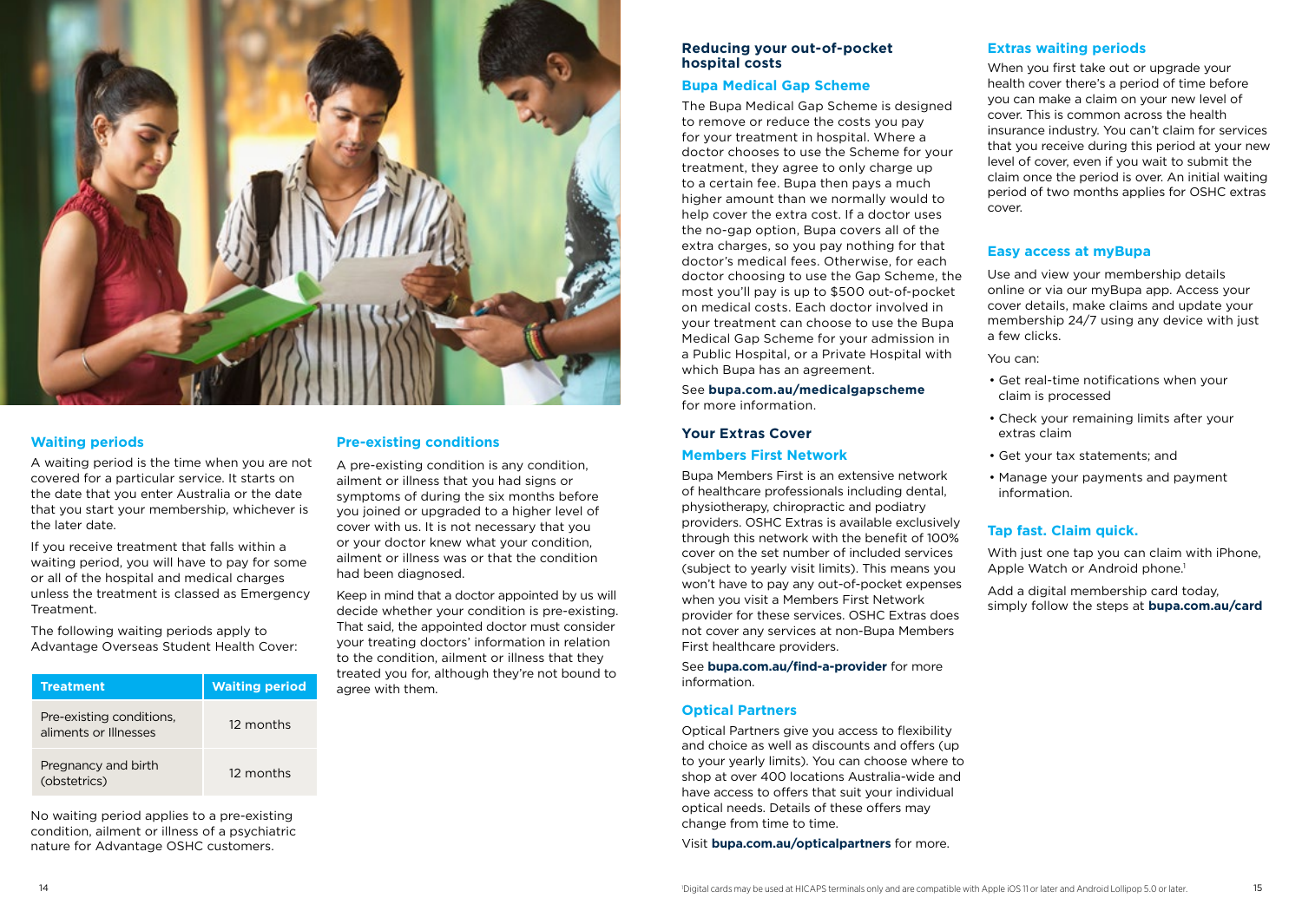

### **Waiting periods**

A waiting period is the time when you are not covered for a particular service. It starts on the date that you enter Australia or the date that you start your membership, whichever is the later date.

If you receive treatment that falls within a waiting period, you will have to pay for some or all of the hospital and medical charges unless the treatment is classed as Emergency Treatment.

The following waiting periods apply to Advantage Overseas Student Health Cover:

| <b>Treatment</b>                                  | <b>Waiting period</b> |
|---------------------------------------------------|-----------------------|
| Pre-existing conditions,<br>aliments or Illnesses | 12 months             |
| Pregnancy and birth<br>(obstetrics)               | 12 months             |

No waiting period applies to a pre-existing condition, ailment or illness of a psychiatric nature for Advantage OSHC customers.

### **Pre-existing conditions**

A pre-existing condition is any condition, ailment or illness that you had signs or symptoms of during the six months before you joined or upgraded to a higher level of cover with us. It is not necessary that you or your doctor knew what your condition, ailment or illness was or that the condition had been diagnosed.

Keep in mind that a doctor appointed by us will decide whether your condition is pre-existing. That said, the appointed doctor must consider your treating doctors' information in relation to the condition, ailment or illness that they treated you for, although they're not bound to agree with them.

### **Reducing your out-of-pocket hospital costs**

### **Bupa Medical Gap Scheme**

The Bupa Medical Gap Scheme is designed to remove or reduce the costs you pay for your treatment in hospital. Where a doctor chooses to use the Scheme for your treatment, they agree to only charge up to a certain fee. Bupa then pays a much higher amount than we normally would to help cover the extra cost. If a doctor uses the no-gap option, Bupa covers all of the extra charges, so you pay nothing for that doctor's medical fees. Otherwise, for each doctor choosing to use the Gap Scheme, the most you'll pay is up to \$500 out-of-pocket on medical costs. Each doctor involved in your treatment can choose to use the Bupa Medical Gap Scheme for your admission in a Public Hospital, or a Private Hospital with which Bupa has an agreement.

See **[bupa.com.au/medicalgapscheme](https://www.bupa.com.au/medical-gap-scheme)**  for more information.

### **Your Extras Cover**

### **Members First Network**

Bupa Members First is an extensive network of healthcare professionals including dental, physiotherapy, chiropractic and podiatry providers. OSHC Extras is available exclusively through this network with the benefit of 100% cover on the set number of included services (subject to yearly visit limits). This means you won't have to pay any out-of-pocket expenses when you visit a Members First Network provider for these services. OSHC Extras does not cover any services at non-Bupa Members First healthcare providers.

See **[bupa.com.au/find-a-provider](https://www.bupa.com.au/find-a-provider)** for more information.

### **Optical Partners**

Optical Partners give you access to flexibility and choice as well as discounts and offers (up to your yearly limits). You can choose where to shop at over 400 locations Australia-wide and have access to offers that suit your individual optical needs. Details of these offers may change from time to time.

Visit **bupa.com.au/opticalpartners** for more.

### **Extras waiting periods**

When you first take out or upgrade your health cover there's a period of time before you can make a claim on your new level of cover. This is common across the health insurance industry. You can't claim for services that you receive during this period at your new level of cover, even if you wait to submit the claim once the period is over. An initial waiting period of two months applies for OSHC extras cover.

### **Easy access at myBupa**

Use and view your membership details online or via our myBupa app. Access your cover details, make claims and update your membership 24/7 using any device with just a few clicks.

You can:

- Get real-time notifications when your claim is processed
- Check your remaining limits after your extras claim
- Get your tax statements; and
- Manage your payments and payment information.

### **Tap fast. Claim quick.**

With just one tap you can claim with iPhone. Apple Watch or Android phone.<sup>1</sup>

Add a digital membership card today, simply follow the steps at **[bupa.com.au/card](https://www.bupa.com.au/card)**